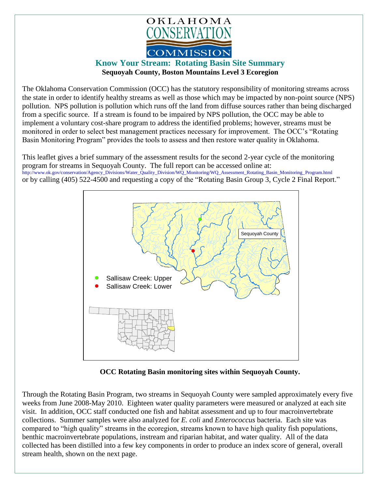

## **Know Your Stream: Rotating Basin Site Summary Sequoyah County, Boston Mountains Level 3 Ecoregion**

The Oklahoma Conservation Commission (OCC) has the statutory responsibility of monitoring streams across the state in order to identify healthy streams as well as those which may be impacted by non-point source (NPS) pollution. NPS pollution is pollution which runs off the land from diffuse sources rather than being discharged from a specific source. If a stream is found to be impaired by NPS pollution, the OCC may be able to implement a voluntary cost-share program to address the identified problems; however, streams must be monitored in order to select best management practices necessary for improvement. The OCC's "Rotating Basin Monitoring Program" provides the tools to assess and then restore water quality in Oklahoma.

This leaflet gives a brief summary of the assessment results for the second 2-year cycle of the monitoring program for streams in Sequoyah County. The full report can be accessed online at: [http://www.ok.gov/conservation/Agency\\_Divisions/Water\\_Quality\\_Division/WQ\\_Monitoring/WQ\\_Assessment\\_Rotating\\_Basin\\_Monitoring\\_Program.html](http://www.ok.gov/conservation/Agency_Divisions/Water_Quality_Division/WQ_Monitoring/WQ_Assessment_Rotating_Basin_Monitoring_Program.html)  or by calling (405) 522-4500 and requesting a copy of the "Rotating Basin Group 3, Cycle 2 Final Report."



**OCC Rotating Basin monitoring sites within Sequoyah County.**

Through the Rotating Basin Program, two streams in Sequoyah County were sampled approximately every five weeks from June 2008-May 2010. Eighteen water quality parameters were measured or analyzed at each site visit. In addition, OCC staff conducted one fish and habitat assessment and up to four macroinvertebrate collections. Summer samples were also analyzed for *E. coli* and *Enterococcus* bacteria. Each site was compared to "high quality" streams in the ecoregion, streams known to have high quality fish populations, benthic macroinvertebrate populations, instream and riparian habitat, and water quality. All of the data collected has been distilled into a few key components in order to produce an index score of general, overall stream health, shown on the next page.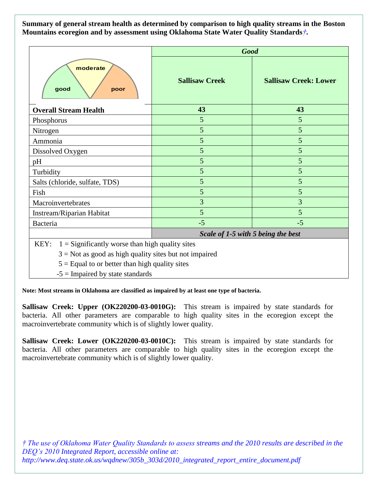**Summary of general stream health as determined by comparison to high quality streams in the Boston Mountains ecoregion and by assessment using Oklahoma State Water Quality Standards***†***.**

|                                                           | <b>Good</b>                        |                              |
|-----------------------------------------------------------|------------------------------------|------------------------------|
| moderate<br>good<br>poor                                  | <b>Sallisaw Creek</b>              | <b>Sallisaw Creek: Lower</b> |
| <b>Overall Stream Health</b>                              | 43                                 | 43                           |
| Phosphorus                                                | 5                                  | 5                            |
| Nitrogen                                                  | 5                                  | 5                            |
| Ammonia                                                   | 5                                  | 5                            |
| Dissolved Oxygen                                          | 5                                  | 5                            |
| pH                                                        | 5                                  | 5                            |
| Turbidity                                                 | 5                                  | 5                            |
| Salts (chloride, sulfate, TDS)                            | 5                                  | 5                            |
| Fish                                                      | 5                                  | 5                            |
| Macroinvertebrates                                        | $\overline{3}$                     | 3                            |
| Instream/Riparian Habitat                                 | 5                                  | 5                            |
| Bacteria                                                  | $-5$                               | $-5$                         |
|                                                           | Scale of 1-5 with 5 being the best |                              |
| $1 =$ Significantly worse than high quality sites<br>KEY: |                                    |                              |

 $3 = Not$  as good as high quality sites but not impaired

 $5 =$  Equal to or better than high quality sites

 $-5$  = Impaired by state standards

**Note: Most streams in Oklahoma are classified as impaired by at least one type of bacteria.**

**Sallisaw Creek: Upper (OK220200-03-0010G):** This stream is impaired by state standards for bacteria. All other parameters are comparable to high quality sites in the ecoregion except the macroinvertebrate community which is of slightly lower quality.

**Sallisaw Creek: Lower (OK220200-03-0010C):** This stream is impaired by state standards for bacteria. All other parameters are comparable to high quality sites in the ecoregion except the macroinvertebrate community which is of slightly lower quality.

*† The use of Oklahoma Water Quality Standards to assess streams and the 2010 results are described in the DEQ's 2010 Integrated Report, accessible online at: http://www.deq.state.ok.us/wqdnew/305b\_303d/2010\_integrated\_report\_entire\_document.pdf*